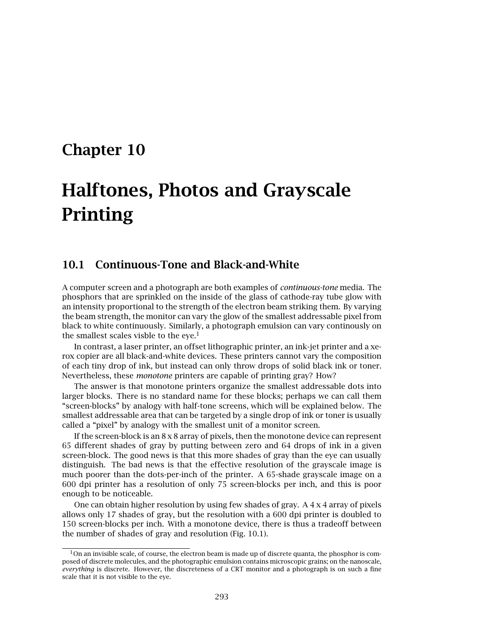# **Chapter 10**

# **Halftones, Photos and Grayscale Printing**

## **10.1 Continuous-Tone and Black-and-White**

A computer screen and a photograph are both examples of *continuous-tone* media. The phosphors that are sprinkled on the inside of the glass of cathode-ray tube glow with an intensity proportional to the strength of the electron beam striking them. By varying the beam strength, the monitor can vary the glow of the smallest addressable pixel from black to white continuously. Similarly, a photograph emulsion can vary continously on the smallest scales visble to the eye.<sup>1</sup>

In contrast, a laser printer, an offset lithographic printer, an ink-jet printer and a xerox copier are all black-and-white devices. These printers cannot vary the composition of each tiny drop of ink, but instead can only throw drops of solid black ink or toner. Nevertheless, these *monotone* printers are capable of printing gray? How?

The answer is that monotone printers organize the smallest addressable dots into larger blocks. There is no standard name for these blocks; perhaps we can call them "screen-blocks" by analogy with half-tone screens, which will be explained below. The smallest addressable area that can be targeted by a single drop of ink or toner is usually called a "pixel" by analogy with the smallest unit of a monitor screen.

If the screen-block is an  $8 \times 8$  array of pixels, then the monotone device can represent 65 different shades of gray by putting between zero and 64 drops of ink in a given screen-block. The good news is that this more shades of gray than the eye can usually distinguish. The bad news is that the effective resolution of the grayscale image is much poorer than the dots-per-inch of the printer. A 65-shade grayscale image on a 600 dpi printer has a resolution of only 75 screen-blocks per inch, and this is poor enough to be noticeable.

One can obtain higher resolution by using few shades of gray. A  $4 \times 4$  array of pixels allows only 17 shades of gray, but the resolution with a 600 dpi printer is doubled to 150 screen-blocks per inch. With a monotone device, there is thus a tradeoff between the number of shades of gray and resolution (Fig. 10.1).

 $1$ On an invisible scale, of course, the electron beam is made up of discrete quanta, the phosphor is composed of discrete molecules, and the photographic emulsion contains microscopic grains; on the nanoscale, *everything* is discrete. However, the discreteness of a CRT monitor and a photograph is on such a fine scale that it is not visible to the eye.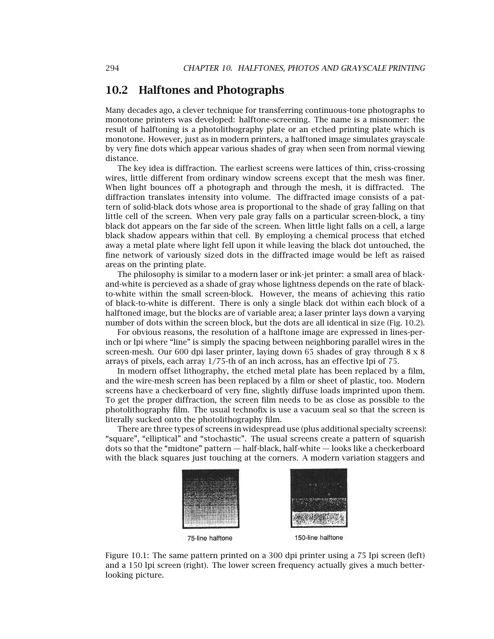#### 10.2 Halftones and Photographs

Many decades ago, a clever technique for transferring continuous-tone photographs to monotone printers was developed: halftone-screening. The name is a misnomer: the result of halftoning is a photolithography plate or an etched printing plate which is monotone. However, just as in modern printers, a halftoned image simulates grayscale by very fine dots which appear various shades of gray when seen from normal viewing distance.

The key idea is diffraction. The earliest screens were lattices of thin, criss-crossing wires, little different from ordinary window screens except that the mesh was finer. When light bounces off a photograph and through the mesh, it is diffracted. The diffraction translates intensity into volume. The diffracted image consists of a pattern of solid-black dots whose area is proportional to the shade of gray falling on that little cell of the screen. When very pale gray falls on a particular screen-block, a tiny black dot appears on the far side of the screen. When little light falls on a cell, a large black shadow appears within that cell. By employing a chemical process that etched away a metal plate where light fell upon it while leaving the black dot untouched, the fine network of variously sized dots in the diffracted image would be left as raised areas on the printing plate.

The philosophy is similar to a modern laser or ink-jet printer: a small area of blackand-white is percieved as a shade of gray whose lightness depends on the rate of blackto-white within the small screen-block. However, the means of achieving this ratio of black-to-white is different. There is only a single black dot within each block of a halftoned image, but the blocks are of variable area; a laser printer lays down a varying number of dots within the screen block, but the dots are all identical in size (Fig. 10.2).

For obvious reasons, the resolution of a halftone image are expressed in lines-perinch or lpi where "line" is simply the spacing between neighboring parallel wires in the screen-mesh. Our 600 dpi laser printer, laying down 65 shades of gray through  $8 \times 8$ arrays of pixels, each array 1/75-th of an inch across, has an effective lpi of 75.

In modern offset lithography, the etched metal plate has been replaced by a film, and the wire-mesh screen has been replaced by a film or sheet of plastic, too. Modern screens have a checkerboard of very fine, slightly diffuse loads imprinted upon them. To get the proper diffraction, the screen film needs to be as close as possible to the photolithography film. The usual technofix is use a vacuum seal so that the screen is literally sucked onto the photolithography film.

There are three types of screens in widespread use (plus additional specialty screens): "square", "elliptical" and "stochastic". The usual screens create a pattern of squarish dots so that the "midtone" pattern — half-black, half-white — looks like a checkerboard with the black squares just touching at the corners. A modern variation staggers and



Figure 10.1: The same pattern printed on a 300 dpi printer using a 75 lpi screen (left) and a 150 lpi screen (right). The lower screen frequency actually gives a much betterlooking picture.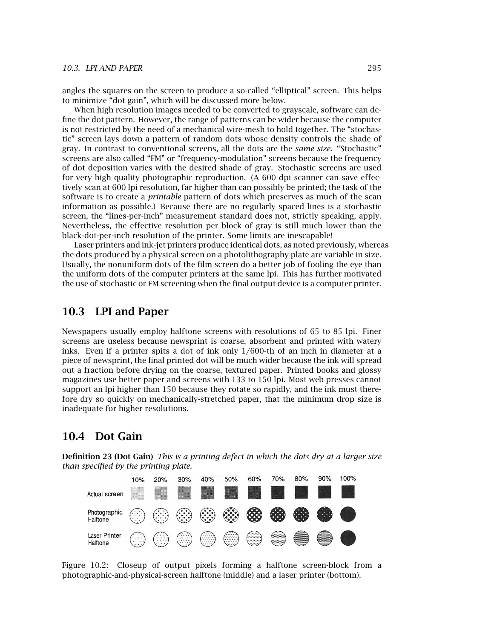angles the squares on the screen to produce a so-called "elliptical" screen. This helps to minimize "dot gain", which will be discussed more below.

When high resolution images needed to be converted to grayscale, software can define the dot pattern. However, the range of patterns can be wider because the computer is not restricted by the need of a mechanical wire-mesh to hold together. The "stochastic" screen lays down a pattern of random dots whose density controls the shade of gray. In contrast to conventional screens, all the dots are the *same size*. "Stochastic" screens are also called "FM" or "frequency-modulation" screens because the frequency of dot deposition varies with the desired shade of gray. Stochastic screens are used for very high quality photographic reproduction. (A 600 dpi scanner can save effectively scan at 600 lpi resolution, far higher than can possibly be printed; the task of the software is to create a *printable* pattern of dots which preserves as much of the scan information as possible.) Because there are no regularly spaced lines is a stochastic screen, the "lines-per-inch" measurement standard does not, strictly speaking, apply. Nevertheless, the effective resolution per block of gray is still much lower than the black-dot-per-inch resolution of the printer. Some limits are inescapable!

Laser printers and ink-jet printers produce identical dots, as noted previously, whereas the dots produced by a physical screen on a photolithography plate are variable in size. Usually, the nonuniform dots of the film screen do a better job of fooling the eye than the uniform dots of the computer printers at the same lpi. This has further motivated the use of stochastic or FM screening when the final output device is a computer printer.

#### **10.3 LPI and Paper**

Newspapers usually employ halftone screens with resolutions of 65 to 85 lpi. Finer screens are useless because newsprint is coarse, absorbent and printed with watery inks. Even if a printer spits a dot of ink only 1/600-th of an inch in diameter at a piece of newsprint, the final printed dot will be much wider because the ink will spread out a fraction before drying on the coarse, textured paper. Printed books and glossy magazines use better paper and screens with 133 to 150 lpi. Most web presses cannot support an lpi higher than 150 because they rotate so rapidly, and the ink must therefore dry so quickly on mechanically-stretched paper, that the minimum drop size is inadequate for higher resolutions.

#### **10.4 Dot Gain**

**Definition 23 (Dot Gain)** *This is a printing defect in which the dots dry at a larger size than specified by the printing plate.*



Figure 10.2: Closeup of output pixels forming a halftone screen-block from a photographic-and-physical-screen halftone (middle) and a laser printer (bottom).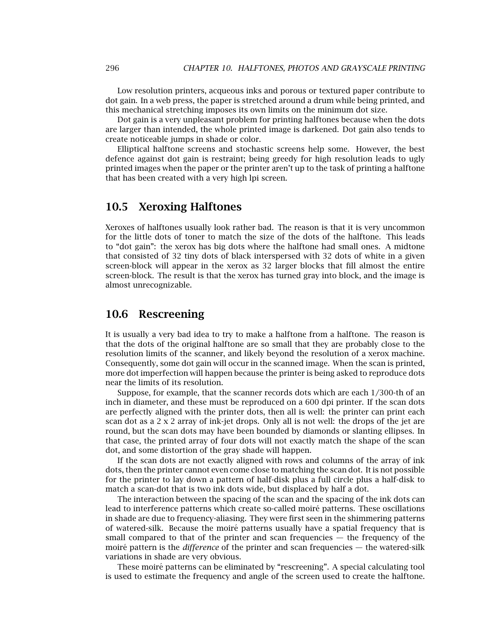Low resolution printers, acqueous inks and porous or textured paper contribute to dot gain. In a web press, the paper is stretched around a drum while being printed, and this mechanical stretching imposes its own limits on the minimum dot size.

Dot gain is a very unpleasant problem for printing halftones because when the dots are larger than intended, the whole printed image is darkened. Dot gain also tends to create noticeable jumps in shade or color.

Elliptical halftone screens and stochastic screens help some. However, the best defence against dot gain is restraint; being greedy for high resolution leads to ugly printed images when the paper or the printer aren't up to the task of printing a halftone that has been created with a very high lpi screen.

#### **10.5 Xeroxing Halftones**

Xeroxes of halftones usually look rather bad. The reason is that it is very uncommon for the little dots of toner to match the size of the dots of the halftone. This leads to "dot gain": the xerox has big dots where the halftone had small ones. A midtone that consisted of 32 tiny dots of black interspersed with 32 dots of white in a given screen-block will appear in the xerox as 32 larger blocks that fill almost the entire screen-block. The result is that the xerox has turned gray into block, and the image is almost unrecognizable.

#### **10.6 Rescreening**

It is usually a very bad idea to try to make a halftone from a halftone. The reason is that the dots of the original halftone are so small that they are probably close to the resolution limits of the scanner, and likely beyond the resolution of a xerox machine. Consequently, some dot gain will occur in the scanned image. When the scan is printed, more dot imperfection will happen because the printer is being asked to reproduce dots near the limits of its resolution.

Suppose, for example, that the scanner records dots which are each 1/300-th of an inch in diameter, and these must be reproduced on a 600 dpi printer. If the scan dots are perfectly aligned with the printer dots, then all is well: the printer can print each scan dot as a 2 x 2 array of ink-jet drops. Only all is not well: the drops of the jet are round, but the scan dots may have been bounded by diamonds or slanting ellipses. In that case, the printed array of four dots will not exactly match the shape of the scan dot, and some distortion of the gray shade will happen.

If the scan dots are not exactly aligned with rows and columns of the array of ink dots, then the printer cannot even come close to matching the scan dot. It is not possible for the printer to lay down a pattern of half-disk plus a full circle plus a half-disk to match a scan-dot that is two ink dots wide, but displaced by half a dot.

The interaction between the spacing of the scan and the spacing of the ink dots can lead to interference patterns which create so-called moiré patterns. These oscillations in shade are due to frequency-aliasing. They were first seen in the shimmering patterns of watered-silk. Because the moiré patterns usually have a spatial frequency that is small compared to that of the printer and scan frequencies — the frequency of the moiré pattern is the *difference* of the printer and scan frequencies — the watered-silk variations in shade are very obvious.

These moiré patterns can be eliminated by "rescreening". A special calculating tool is used to estimate the frequency and angle of the screen used to create the halftone.